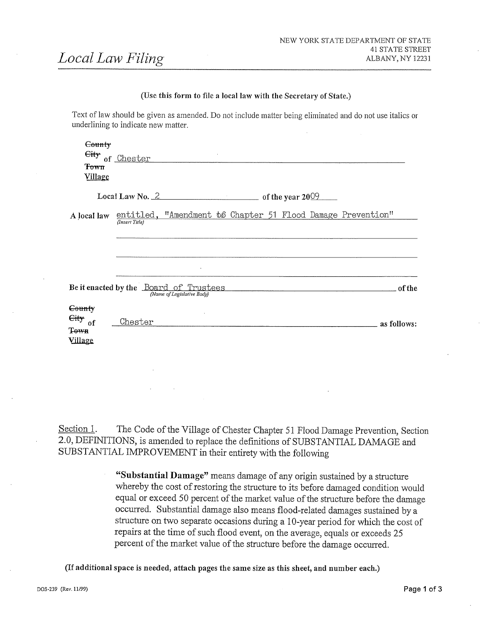#### (Use this form to file a local law with the Secretary of State.)

|                                                       | Text of law should be given as amended. Do not include matter being eliminated and do not use italics or<br>underlining to indicate new matter. |             |
|-------------------------------------------------------|-------------------------------------------------------------------------------------------------------------------------------------------------|-------------|
| County<br>Town<br><u>Village</u>                      | Eity of Chester<br>and the control                                                                                                              |             |
|                                                       | Local Law No. $2$ of the year 2009                                                                                                              |             |
| A local law                                           | entitled, "Amendment b6 Chapter 51 Flood Damage Prevention"<br>(Insert Title)                                                                   |             |
|                                                       | Be it enacted by the <u>Board of Trustees</u> of the <i>Name of Legislative Body</i>                                                            |             |
| County<br>$\frac{C}{dt}$ of<br>Town<br><b>Village</b> | Chester                                                                                                                                         | as follows: |

Section 1. The Code of the Village of Chester Chapter 51 Flood Damage Prevention, Section 2.0, DEFINITIONS, is amended to replace the definitions of SUBSTANTIAL DAMAGE and SUBSTANTIAL IMPROVEMENT in their entirety with the following

> "Substantial Damage" means damage of any origin sustained by a structure whereby the cost of restoring the structure to its before damaged condition would equal or exceed 50 percent of the market value of the structure before the damage occurred. Substantial damage also means flood-related damages sustained by a structure on two separate occasions during a 10-year period for which the cost of repairs at the time of such flood event, on the average, equals or exceeds 25 percent of the market value of the structure before the damage occurred.

(If additional space is needed, attach pages the same size as this sheet, and number each.)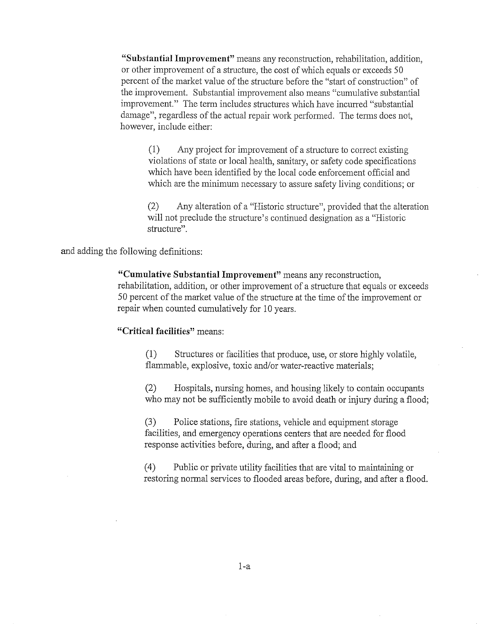"Substantial Improvement" means any reconstruction, rehabilitation, addition, or other improvement of a structure, the cost of which equals or exceeds 50 percent of the market value of the structure before the "start of construction" of the improvement. Substantial improvement also means "cumulative substantial improvement." The term includes structures which have incurred "substantial damage", regardless of the actual repair work performed. The terms does not, however, include either:

 $1$  Any project for improvement of a structure to correct existing violations of state or local health, sanitary, or safety code specifications which have been identified by the local code enforcement official and which are the minimum necessary to assure safety living conditions; or

 $(2)$  Any alteration of a "Historic structure", provided that the alteration will not preclude the structure's continued designation as a "Historic structure".

and adding the following definitions

"Cumulative Substantial Improvement" means any reconstruction, rehabilitation, addition, or other improvement of a structure that equals or exceeds 50 percent of the market value of the structure at the time of the improvement or repair when counted cumulatively for <sup>10</sup> years

"Critical facilities" means:

(1) Structures or facilities that produce, use, or store highly volatile. flammable, explosive, toxic and/or water-reactive materials;

(2) Hospitals, nursing homes, and housing likely to contain occupants who may not be sufficiently mobile to avoid death or injury during a flood;

(3) Police stations, fire stations, vehicle and equipment storage facilities, and emergency operations centers that are needed for flood response activities before, during, and after a flood; and

 $(4)$  Public or private utility facilities that are vital to maintaining or restoring normal services to flooded areas before, during, and after a flood.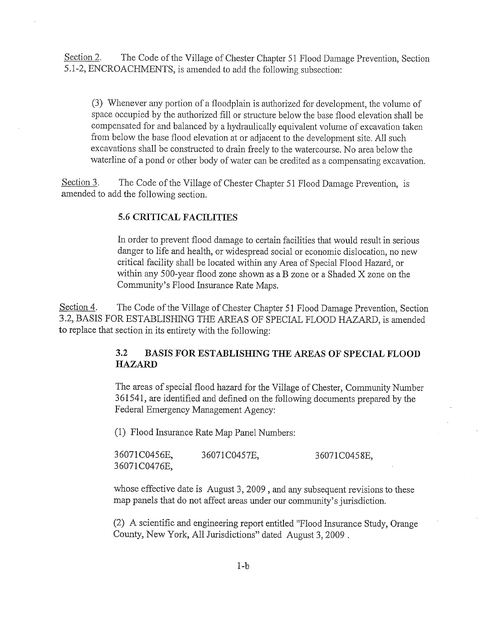Section 2. The Code of the Village of Chester Chapter 51 Flood Damage Prevention, Section 5.1-2, ENCROACHMENTS, is amended to add the following subsection:

3) Whenever any portion of a floodplain is authorized for development, the volume of space occupied by the authorized fill or structure below the base flood elevation shall be compensated for and balanced by <sup>a</sup> hydraulically equivalent volume of excavation taken from below the base flood elevation at or adjacent to the development site All such excavations shall be constructed to drain freely to the watercomse No area below the waterline of a pond or other body of water can be credited as a compensating excavation

Section 3. The Code of the Village of Chester Chapter 51 Flood Damage Prevention, is amended to add the following section

# 5 6 CRITICAL FACILITIES

In order to prevent flood damage to certain facilities that would result in serious danger to life and health, or widespread social or economic dislocation, no new critical facility shall be located within any Area of Special Flood Hazard, or within any 500-year flood zone shown as a B zone or a Shaded  $X$  zone on the Community's Flood Insurance Rate Maps.

Section 4. The Code of the Village of Chester Chapter 51 Flood Damage Prevention, Section 3.2, BASIS FOR ESTABLISHING THE AREAS OF SPECIAL FLOOD HAZARD, is amended to replace that section in its entirety with the following

# 3.2 BASIS FOR ESTABLISHING THE AREAS OF SPECIAL FLOOD HAZARD

The areas of special flood hazard for the Village of Chester, Community Number 361541 are identified and defined on the following documents prepared by the Federal Emergency Management Agency

(1) Flood Insurance Rate Map Panel Numbers:

| 36071C0456E, | 36071C0457E, | 36071C0458E, |
|--------------|--------------|--------------|
| 36071C0476E, |              |              |

whose effective date is August 3, 2009, and any subsequent revisions to these map panels that do not affect areas under our community's jurisdiction

(2) A scientific and engineering report entitled "Flood Insurance Study, Orange County, New York, All Jurisdictions" dated August 3, 2009.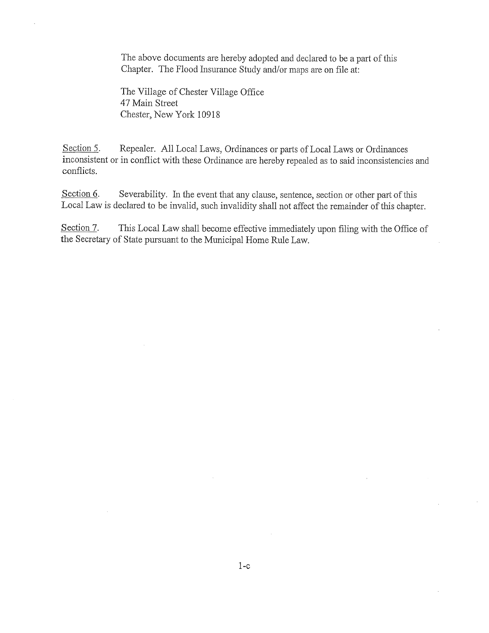The above documents are hereby adopted and declared to be a part of this Chapter. The Flood Insurance Study and/or maps are on file at:

The Village of Chester Village Office 47 Main Street Chester, New York 10918

Section 5. Repealer. All Local Laws, Ordinances or parts of Local Laws or Ordinances inconsistent or in conflict with these Ordinance are hereby repealed as to said inconsistencies and conflicts

Section  $6$ . Severability. In the event that any clause, sentence, section or other part of this Local Law is declared to be invalid, such invalidity shall not affect the remainder of this chapter.

Section 7. This Local Law shall become effective immediately upon filing with the Office of the Secretary of State pursuant to the Municipal Home Rule Law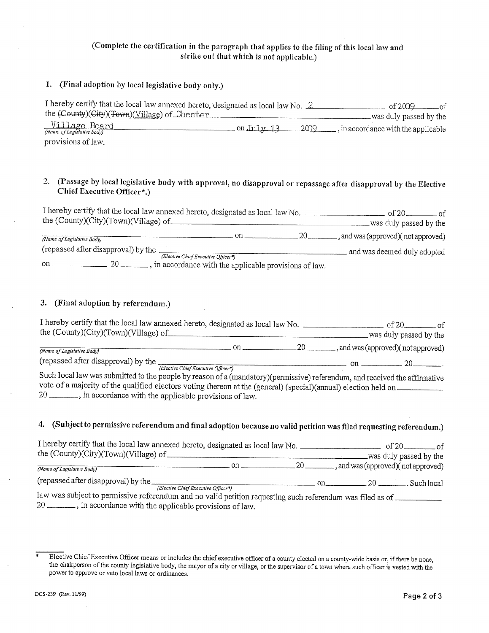# Complete the certification in the paragraph that applies to the filing of this local law and strike out that which is not applicable

# 1. (Final adoption by local legislative body only.)

| I hereby certify that the local law annexed hereto, designated as local law No. 2<br>the (County)(City)(Town)(Village) of Chester |            |      | nf<br>of 2009<br>was duly passed by the |
|-----------------------------------------------------------------------------------------------------------------------------------|------------|------|-----------------------------------------|
| $\frac{\text{Vilage Board}}{\text{(Name of Legislative body)}}$                                                                   | on July 13 | 2009 | , in accordance with the applicable     |
| provisions of law.                                                                                                                |            |      |                                         |

# <sup>2</sup> Passage by local legislative body with approval no disapproval or repassage after disapproval by the Elective Chief Executive Officer\*.)

| I hereby certify that the local law annexed hereto, designated as local law No.<br>the (County)(City)(Town)(Village) of |     |     | of $20-$<br>was duly passed by the |
|-------------------------------------------------------------------------------------------------------------------------|-----|-----|------------------------------------|
|                                                                                                                         |     |     |                                    |
| (Name of Legislative Body)                                                                                              | nn. | -20 | , and was (approved)(not approved) |
| (repassed after disapproval) by the                                                                                     |     |     | and was deemed duly adopted        |
| (Elective Chief Executive Officer*)                                                                                     |     |     |                                    |
| , in accordance with the applicable provisions of law.<br>20<br>on                                                      |     |     |                                    |

#### 3. (Final adoption by referendum.)

| the $(Country)(City)(Town)(Village)$ of | I hereby certify that the local law annexed hereto, designated as local law No. |  |  | of 20<br>was duly passed by the    |  |  |
|-----------------------------------------|---------------------------------------------------------------------------------|--|--|------------------------------------|--|--|
|                                         |                                                                                 |  |  |                                    |  |  |
| (Name of Legislative Body)              |                                                                                 |  |  | , and was (approved)(not approved) |  |  |
| (repassed after disapproval) by the     | $\sqrt{2}$                                                                      |  |  |                                    |  |  |

(Elective Chief Executive Officer\*)

Such local law was submitted to the people by reason of a (mandatory) (permissive) referendum, and received the affirmative vote of a majority of the qualified electors voting thereon at the (general) (special) (annual) election held on 20 \_\_\_\_\_\_\_, in accordance with the applicable provisions of law.

# 4. (Subject to permissive referendum and final adoption because no valid petition was filed requesting referendum.)

| I hereby certify that the local law annexed hereto, designated as local law No.<br>the (County)(City)(Town)(Village) of                                                                                                                                                                                                                                |                                     |     | of 20 of<br>was duly passed by the               |
|--------------------------------------------------------------------------------------------------------------------------------------------------------------------------------------------------------------------------------------------------------------------------------------------------------------------------------------------------------|-------------------------------------|-----|--------------------------------------------------|
| (Name of Legislative Body)                                                                                                                                                                                                                                                                                                                             | $\mathbf{on}$ $\equiv$              |     | 20 ___________, and was (approved)(not approved) |
|                                                                                                                                                                                                                                                                                                                                                        | (Elective Chief Executive Officer*) | on. | 20 —                                             |
| law was subject to permissive referendum and no valid petition requesting such referendum was filed as of<br>$\mathcal{L}_{\text{max}}$ is a set of the set of the set of the set of the set of the set of the set of the set of the set of the set of the set of the set of the set of the set of the set of the set of the set of the set of the set |                                     |     |                                                  |

20 \_\_\_\_\_\_\_, in accordance with the applicable provisions of law.

 $\overline{\ast}$ Elective Chief Executive Officer means or includes the chief executive officer of a county elected on a county-wide basis or, if there be none, the chairperson of the county legislative body, the mayor of a city or village, or the supervisor of a town where such officer is vested with the power to approve or veto local laws or ordinances.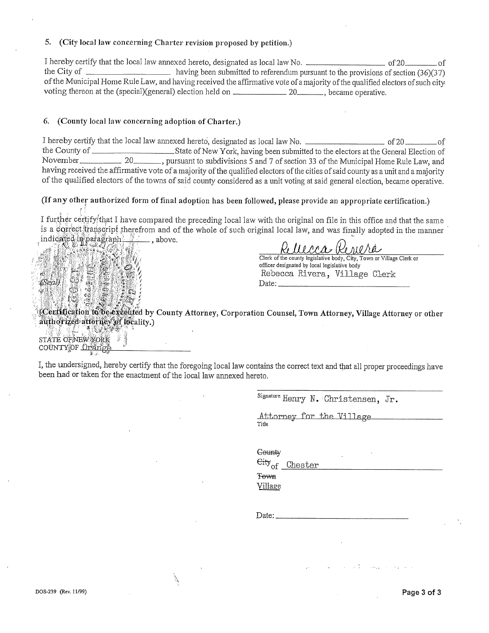#### 5. (City local law concerning Charter revision proposed by petition.)

I hereby certify that the local law annexed hereto, designated as local law No.  $\sim$  of 20 of 20 of 20 of 20 of the City of  $\frac{1}{36}(37)$  having been submitted to referendum pursuant to the provisions of section  $(36)(37)$ of the Municipal Home Rule Law, and having received the affirmative vote of a majority of the qualified electors of such city voting thereon at the (special) general) election held on  $\frac{20}{20}$ , became operative.

# 6. (County local law concerning adoption of Charter.)

I hereby certify that the local law annexed hereto, designated as local law No.<br>the County of<br>State of New York, having been submitted to the electors at the General Election of **the County of County of New York, having been submitted to the electors at the General Election of** November 20 pursuant to subdivisions 5 and 7 of section 33 of the Municipal Home Rule Law, and having received the affirmative vote of a majority of the qualified electors of the cities of said county as a unit and a majority of the qualified electors of the towns of said county considered as a unit voting at said general election, became operative.

# (If any other authorized form of final adoption has been followed, please provide an appropriate certification.)

I further certify that I have compared the preceding local law with the original on file in this office and that the same is a correct tra *v*/that I have compared the preceding local law with the original on file in this office and that the same<br>pscript therefrom and of the whole of such original local law, and was finally adopted in the manner indicated in parag



ran an, and was many

Clerk of the county legislative body, City, Town or Village Clerk or officer designated by local legislative body Rebecca Rivera, Village Clerk Date:

d Certification to be executed by County Attorney, Corporation Counsel, Town Attorney, Village Attorney or other authorized attorney of locality.)  $4.983$ 

STATE OF NEW YORK COUNTY OF Orange

I, the undersigned, hereby certify that the foregoing local law contains the correct text and that all proper proceedings have been had or taken for the enactment of the local law annexed hereto.

Í,

Signature Henry N. Christensen, Jr.

Attorney for the Village Title

Gounty

Eity<sub>of</sub> Chester

**Town** Village

Date: